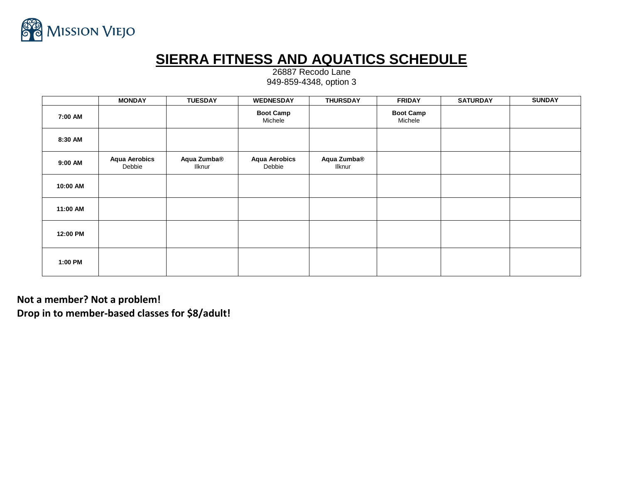

## **SIERRA FITNESS AND AQUATICS SCHEDULE**

26887 Recodo Lane 949-859-4348, option 3

|          | <b>MONDAY</b>                  | <b>TUESDAY</b>        | <b>WEDNESDAY</b>               | <b>THURSDAY</b>       | <b>FRIDAY</b>               | <b>SATURDAY</b> | <b>SUNDAY</b> |
|----------|--------------------------------|-----------------------|--------------------------------|-----------------------|-----------------------------|-----------------|---------------|
| 7:00 AM  |                                |                       | <b>Boot Camp</b><br>Michele    |                       | <b>Boot Camp</b><br>Michele |                 |               |
| 8:30 AM  |                                |                       |                                |                       |                             |                 |               |
| 9:00 AM  | <b>Aqua Aerobics</b><br>Debbie | Aqua Zumba®<br>Ilknur | <b>Aqua Aerobics</b><br>Debbie | Aqua Zumba®<br>Ilknur |                             |                 |               |
| 10:00 AM |                                |                       |                                |                       |                             |                 |               |
| 11:00 AM |                                |                       |                                |                       |                             |                 |               |
| 12:00 PM |                                |                       |                                |                       |                             |                 |               |
| 1:00 PM  |                                |                       |                                |                       |                             |                 |               |

**Not a member? Not a problem! Drop in to member-based classes for \$8/adult!**